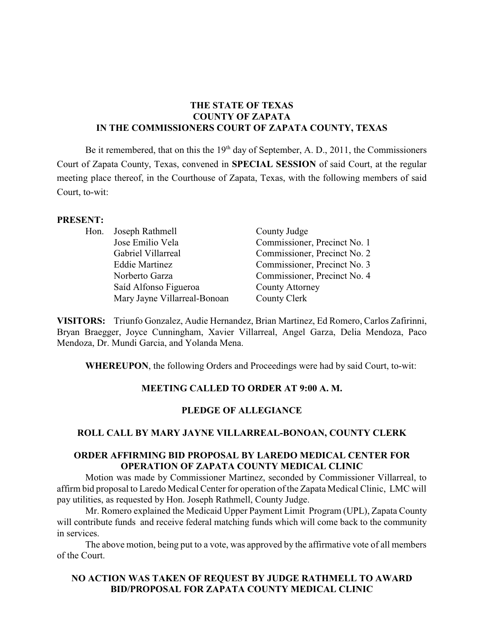## **THE STATE OF TEXAS COUNTY OF ZAPATA IN THE COMMISSIONERS COURT OF ZAPATA COUNTY, TEXAS**

Be it remembered, that on this the  $19<sup>th</sup>$  day of September, A. D., 2011, the Commissioners Court of Zapata County, Texas, convened in **SPECIAL SESSION** of said Court, at the regular meeting place thereof, in the Courthouse of Zapata, Texas, with the following members of said Court, to-wit:

#### **PRESENT:**

|  | Hon. Joseph Rathmell         | County Judge                 |
|--|------------------------------|------------------------------|
|  | Jose Emilio Vela             | Commissioner, Precinct No. 1 |
|  | Gabriel Villarreal           | Commissioner, Precinct No. 2 |
|  | <b>Eddie Martinez</b>        | Commissioner, Precinct No. 3 |
|  | Norberto Garza               | Commissioner, Precinct No. 4 |
|  | Saíd Alfonso Figueroa        | <b>County Attorney</b>       |
|  | Mary Jayne Villarreal-Bonoan | County Clerk                 |

**VISITORS:** Triunfo Gonzalez, Audie Hernandez, Brian Martinez, Ed Romero, Carlos Zafirinni, Bryan Braegger, Joyce Cunningham, Xavier Villarreal, Angel Garza, Delia Mendoza, Paco Mendoza, Dr. Mundi Garcia, and Yolanda Mena.

**WHEREUPON**, the following Orders and Proceedings were had by said Court, to-wit:

### **MEETING CALLED TO ORDER AT 9:00 A. M.**

### **PLEDGE OF ALLEGIANCE**

### **ROLL CALL BY MARY JAYNE VILLARREAL-BONOAN, COUNTY CLERK**

## **ORDER AFFIRMING BID PROPOSAL BY LAREDO MEDICAL CENTER FOR OPERATION OF ZAPATA COUNTY MEDICAL CLINIC**

Motion was made by Commissioner Martinez, seconded by Commissioner Villarreal, to affirm bid proposal to Laredo Medical Center for operation of the Zapata Medical Clinic, LMC will pay utilities, as requested by Hon. Joseph Rathmell, County Judge.

Mr. Romero explained the Medicaid Upper Payment Limit Program (UPL), Zapata County will contribute funds and receive federal matching funds which will come back to the community in services.

The above motion, being put to a vote, was approved by the affirmative vote of all members of the Court.

# **NO ACTION WAS TAKEN OF REQUEST BY JUDGE RATHMELL TO AWARD BID/PROPOSAL FOR ZAPATA COUNTY MEDICAL CLINIC**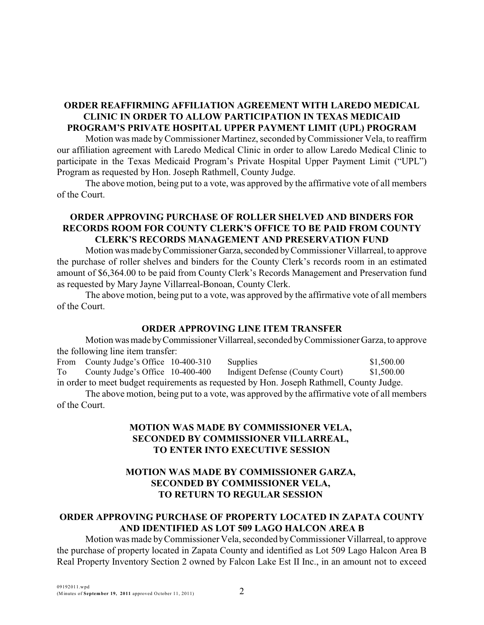## **ORDER REAFFIRMING AFFILIATION AGREEMENT WITH LAREDO MEDICAL CLINIC IN ORDER TO ALLOW PARTICIPATION IN TEXAS MEDICAID PROGRAM'S PRIVATE HOSPITAL UPPER PAYMENT LIMIT (UPL) PROGRAM**

Motion was made byCommissioner Martinez, seconded byCommissioner Vela, to reaffirm our affiliation agreement with Laredo Medical Clinic in order to allow Laredo Medical Clinic to participate in the Texas Medicaid Program's Private Hospital Upper Payment Limit ("UPL") Program as requested by Hon. Joseph Rathmell, County Judge.

The above motion, being put to a vote, was approved by the affirmative vote of all members of the Court.

## **ORDER APPROVING PURCHASE OF ROLLER SHELVED AND BINDERS FOR RECORDS ROOM FOR COUNTY CLERK'S OFFICE TO BE PAID FROM COUNTY CLERK'S RECORDS MANAGEMENT AND PRESERVATION FUND**

Motion was made by Commissioner Garza, seconded by Commissioner Villarreal, to approve the purchase of roller shelves and binders for the County Clerk's records room in an estimated amount of \$6,364.00 to be paid from County Clerk's Records Management and Preservation fund as requested by Mary Jayne Villarreal-Bonoan, County Clerk.

The above motion, being put to a vote, was approved by the affirmative vote of all members of the Court.

### **ORDER APPROVING LINE ITEM TRANSFER**

Motion was made by Commissioner Villarreal, seconded by Commissioner Garza, to approve the following line item transfer:

From County Judge's Office 10-400-310 Supplies \$1,500.00 To County Judge's Office 10-400-400 Indigent Defense (County Court) \$1,500.00 in order to meet budget requirements as requested by Hon. Joseph Rathmell, County Judge.

The above motion, being put to a vote, was approved by the affirmative vote of all members of the Court.

### **MOTION WAS MADE BY COMMISSIONER VELA, SECONDED BY COMMISSIONER VILLARREAL, TO ENTER INTO EXECUTIVE SESSION**

# **MOTION WAS MADE BY COMMISSIONER GARZA, SECONDED BY COMMISSIONER VELA, TO RETURN TO REGULAR SESSION**

## **ORDER APPROVING PURCHASE OF PROPERTY LOCATED IN ZAPATA COUNTY AND IDENTIFIED AS LOT 509 LAGO HALCON AREA B**

Motion was made byCommissioner Vela, seconded byCommissioner Villarreal, to approve the purchase of property located in Zapata County and identified as Lot 509 Lago Halcon Area B Real Property Inventory Section 2 owned by Falcon Lake Est II Inc., in an amount not to exceed